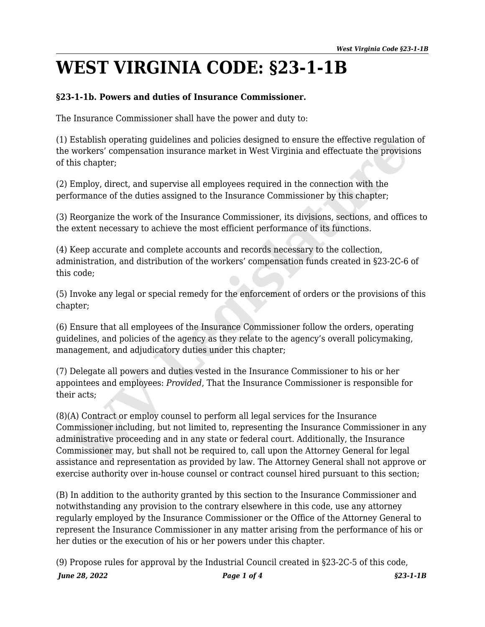## **WEST VIRGINIA CODE: §23-1-1B**

## **§23-1-1b. Powers and duties of Insurance Commissioner.**

The Insurance Commissioner shall have the power and duty to:

(1) Establish operating guidelines and policies designed to ensure the effective regulation of the workers' compensation insurance market in West Virginia and effectuate the provisions of this chapter;

(2) Employ, direct, and supervise all employees required in the connection with the performance of the duties assigned to the Insurance Commissioner by this chapter;

(3) Reorganize the work of the Insurance Commissioner, its divisions, sections, and offices to the extent necessary to achieve the most efficient performance of its functions.

(4) Keep accurate and complete accounts and records necessary to the collection, administration, and distribution of the workers' compensation funds created in §23-2C-6 of this code;

(5) Invoke any legal or special remedy for the enforcement of orders or the provisions of this chapter;

(6) Ensure that all employees of the Insurance Commissioner follow the orders, operating guidelines, and policies of the agency as they relate to the agency's overall policymaking, management, and adjudicatory duties under this chapter;

(7) Delegate all powers and duties vested in the Insurance Commissioner to his or her appointees and employees: *Provided*, That the Insurance Commissioner is responsible for their acts;

(8)(A) Contract or employ counsel to perform all legal services for the Insurance Commissioner including, but not limited to, representing the Insurance Commissioner in any administrative proceeding and in any state or federal court. Additionally, the Insurance Commissioner may, but shall not be required to, call upon the Attorney General for legal assistance and representation as provided by law. The Attorney General shall not approve or exercise authority over in-house counsel or contract counsel hired pursuant to this section; Establish operation<br>
workers' compensation insurance market in West Virginia and effectuate the provisity workers' compensation insurance market in West Virginia and effectuate the provisitions chapter;<br>
Employ, direct, an

(B) In addition to the authority granted by this section to the Insurance Commissioner and notwithstanding any provision to the contrary elsewhere in this code, use any attorney regularly employed by the Insurance Commissioner or the Office of the Attorney General to represent the Insurance Commissioner in any matter arising from the performance of his or her duties or the execution of his or her powers under this chapter.

*June 28, 2022 Page 1 of 4 §23-1-1B* (9) Propose rules for approval by the Industrial Council created in §23-2C-5 of this code,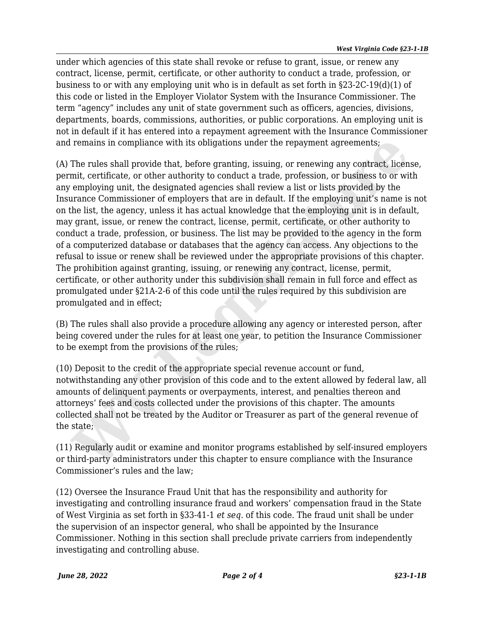under which agencies of this state shall revoke or refuse to grant, issue, or renew any contract, license, permit, certificate, or other authority to conduct a trade, profession, or business to or with any employing unit who is in default as set forth in  $\S 23-2C-19(d)(1)$  of this code or listed in the Employer Violator System with the Insurance Commissioner. The term "agency" includes any unit of state government such as officers, agencies, divisions, departments, boards, commissions, authorities, or public corporations. An employing unit is not in default if it has entered into a repayment agreement with the Insurance Commissioner and remains in compliance with its obligations under the repayment agreements;

(A) The rules shall provide that, before granting, issuing, or renewing any contract, license, permit, certificate, or other authority to conduct a trade, profession, or business to or with any employing unit, the designated agencies shall review a list or lists provided by the Insurance Commissioner of employers that are in default. If the employing unit's name is not on the list, the agency, unless it has actual knowledge that the employing unit is in default, may grant, issue, or renew the contract, license, permit, certificate, or other authority to conduct a trade, profession, or business. The list may be provided to the agency in the form of a computerized database or databases that the agency can access. Any objections to the refusal to issue or renew shall be reviewed under the appropriate provisions of this chapter. The prohibition against granting, issuing, or renewing any contract, license, permit, certificate, or other authority under this subdivision shall remain in full force and effect as promulgated under §21A-2-6 of this code until the rules required by this subdivision are promulgated and in effect; I remains in compliance with its obligations under the repayment agreements;<br>The rules shall provide that, before granting, issuing, or renewing any contract, licenting, it<br>emit, certificate, or other authority to conduct

(B) The rules shall also provide a procedure allowing any agency or interested person, after being covered under the rules for at least one year, to petition the Insurance Commissioner to be exempt from the provisions of the rules;

(10) Deposit to the credit of the appropriate special revenue account or fund, notwithstanding any other provision of this code and to the extent allowed by federal law, all amounts of delinquent payments or overpayments, interest, and penalties thereon and attorneys' fees and costs collected under the provisions of this chapter. The amounts collected shall not be treated by the Auditor or Treasurer as part of the general revenue of the state;

(11) Regularly audit or examine and monitor programs established by self-insured employers or third-party administrators under this chapter to ensure compliance with the Insurance Commissioner's rules and the law;

(12) Oversee the Insurance Fraud Unit that has the responsibility and authority for investigating and controlling insurance fraud and workers' compensation fraud in the State of West Virginia as set forth in §33-41-1 *et seq*. of this code. The fraud unit shall be under the supervision of an inspector general, who shall be appointed by the Insurance Commissioner. Nothing in this section shall preclude private carriers from independently investigating and controlling abuse.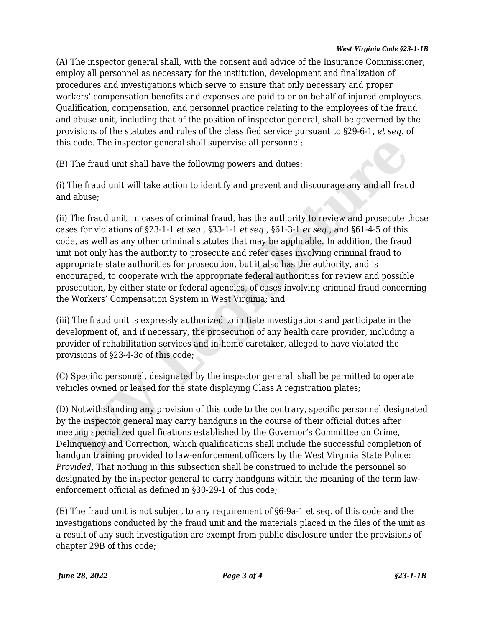(A) The inspector general shall, with the consent and advice of the Insurance Commissioner, employ all personnel as necessary for the institution, development and finalization of procedures and investigations which serve to ensure that only necessary and proper workers' compensation benefits and expenses are paid to or on behalf of injured employees. Qualification, compensation, and personnel practice relating to the employees of the fraud and abuse unit, including that of the position of inspector general, shall be governed by the provisions of the statutes and rules of the classified service pursuant to §29-6-1, *et seq*. of this code. The inspector general shall supervise all personnel;

(B) The fraud unit shall have the following powers and duties:

(i) The fraud unit will take action to identify and prevent and discourage any and all fraud and abuse;

(ii) The fraud unit, in cases of criminal fraud, has the authority to review and prosecute those cases for violations of §23-1-1 *et seq*., §33-1-1 *et seq*., §61-3-1 *et seq*., and §61-4-5 of this code, as well as any other criminal statutes that may be applicable. In addition, the fraud unit not only has the authority to prosecute and refer cases involving criminal fraud to appropriate state authorities for prosecution, but it also has the authority, and is encouraged, to cooperate with the appropriate federal authorities for review and possible prosecution, by either state or federal agencies, of cases involving criminal fraud concerning the Workers' Compensation System in West Virginia; and i code. The inspector general shall supervise all personnel;<br>The fraud unit shall have the following powers and duties:<br>The fraud unit will take action to identify and prevent and discourage any and all frau<br>abuse;<br>The fra

(iii) The fraud unit is expressly authorized to initiate investigations and participate in the development of, and if necessary, the prosecution of any health care provider, including a provider of rehabilitation services and in-home caretaker, alleged to have violated the provisions of §23-4-3c of this code;

(C) Specific personnel, designated by the inspector general, shall be permitted to operate vehicles owned or leased for the state displaying Class A registration plates;

(D) Notwithstanding any provision of this code to the contrary, specific personnel designated by the inspector general may carry handguns in the course of their official duties after meeting specialized qualifications established by the Governor's Committee on Crime, Delinquency and Correction, which qualifications shall include the successful completion of handgun training provided to law-enforcement officers by the West Virginia State Police: *Provided*, That nothing in this subsection shall be construed to include the personnel so designated by the inspector general to carry handguns within the meaning of the term lawenforcement official as defined in §30-29-1 of this code;

(E) The fraud unit is not subject to any requirement of §6-9a-1 et seq. of this code and the investigations conducted by the fraud unit and the materials placed in the files of the unit as a result of any such investigation are exempt from public disclosure under the provisions of chapter 29B of this code;